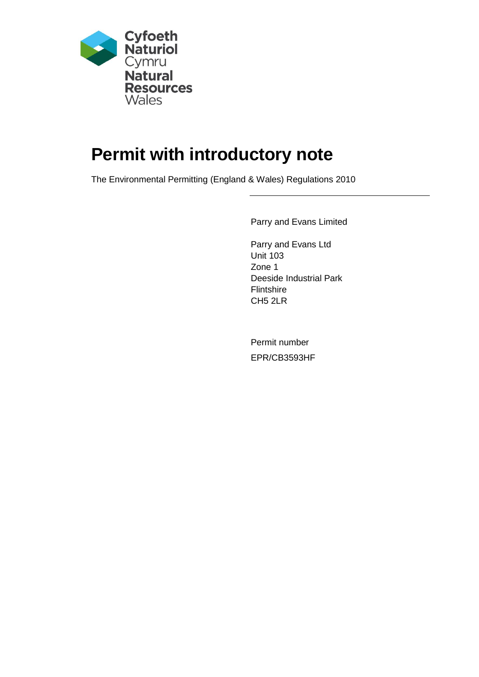

# **Permit with introductory note**

The Environmental Permitting (England & Wales) Regulations 2010

Parry and Evans Limited

Parry and Evans Ltd Unit 103 Zone 1 Deeside Industrial Park **Flintshire** CH5 2LR

Permit number EPR/CB3593HF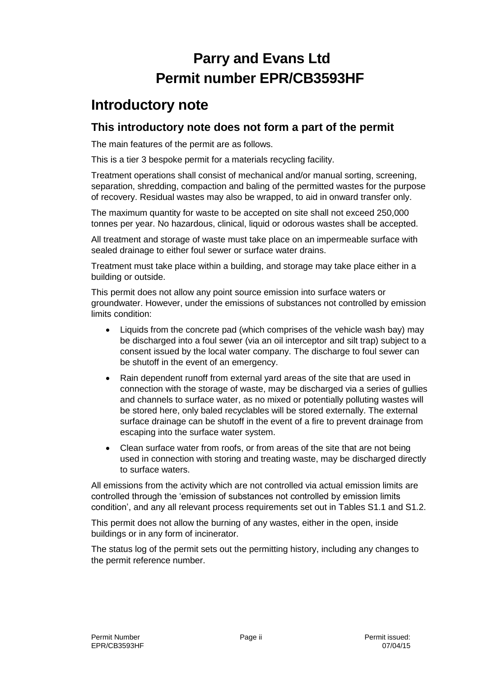## **Parry and Evans Ltd Permit number EPR/CB3593HF**

### **Introductory note**

#### **This introductory note does not form a part of the permit**

The main features of the permit are as follows.

This is a tier 3 bespoke permit for a materials recycling facility.

Treatment operations shall consist of mechanical and/or manual sorting, screening, separation, shredding, compaction and baling of the permitted wastes for the purpose of recovery. Residual wastes may also be wrapped, to aid in onward transfer only.

The maximum quantity for waste to be accepted on site shall not exceed 250,000 tonnes per year. No hazardous, clinical, liquid or odorous wastes shall be accepted.

All treatment and storage of waste must take place on an impermeable surface with sealed drainage to either foul sewer or surface water drains.

Treatment must take place within a building, and storage may take place either in a building or outside.

This permit does not allow any point source emission into surface waters or groundwater. However, under the emissions of substances not controlled by emission limits condition:

- Liquids from the concrete pad (which comprises of the vehicle wash bay) may be discharged into a foul sewer (via an oil interceptor and silt trap) subject to a consent issued by the local water company. The discharge to foul sewer can be shutoff in the event of an emergency.
- Rain dependent runoff from external yard areas of the site that are used in connection with the storage of waste, may be discharged via a series of gullies and channels to surface water, as no mixed or potentially polluting wastes will be stored here, only baled recyclables will be stored externally. The external surface drainage can be shutoff in the event of a fire to prevent drainage from escaping into the surface water system.
- Clean surface water from roofs, or from areas of the site that are not being used in connection with storing and treating waste, may be discharged directly to surface waters.

All emissions from the activity which are not controlled via actual emission limits are controlled through the 'emission of substances not controlled by emission limits condition', and any all relevant process requirements set out in Tables S1.1 and S1.2.

This permit does not allow the burning of any wastes, either in the open, inside buildings or in any form of incinerator.

The status log of the permit sets out the permitting history, including any changes to the permit reference number.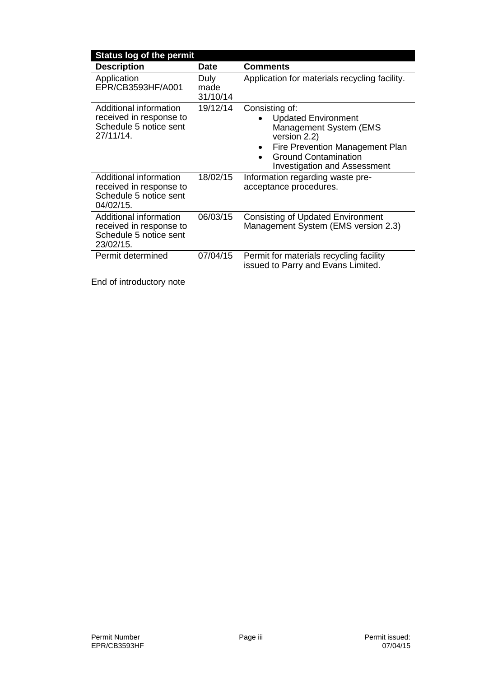| <b>Status log of the permit</b>                                                          |                          |                                                                                                                                                                                                              |
|------------------------------------------------------------------------------------------|--------------------------|--------------------------------------------------------------------------------------------------------------------------------------------------------------------------------------------------------------|
| <b>Description</b>                                                                       | <b>Date</b>              | <b>Comments</b>                                                                                                                                                                                              |
| Application<br>EPR/CB3593HF/A001                                                         | Duly<br>made<br>31/10/14 | Application for materials recycling facility.                                                                                                                                                                |
| Additional information<br>received in response to<br>Schedule 5 notice sent<br>27/11/14. | 19/12/14                 | Consisting of:<br><b>Updated Environment</b><br>Management System (EMS<br>version 2.2)<br>Fire Prevention Management Plan<br>$\bullet$<br><b>Ground Contamination</b><br><b>Investigation and Assessment</b> |
| Additional information<br>received in response to<br>Schedule 5 notice sent<br>04/02/15. | 18/02/15                 | Information regarding waste pre-<br>acceptance procedures.                                                                                                                                                   |
| Additional information<br>received in response to<br>Schedule 5 notice sent<br>23/02/15. | 06/03/15                 | <b>Consisting of Updated Environment</b><br>Management System (EMS version 2.3)                                                                                                                              |
| Permit determined                                                                        | 07/04/15                 | Permit for materials recycling facility<br>issued to Parry and Evans Limited.                                                                                                                                |
|                                                                                          |                          |                                                                                                                                                                                                              |

End of introductory note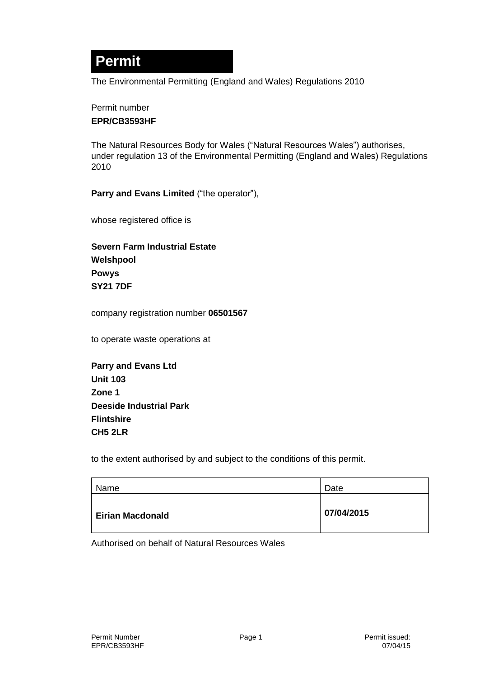## **Permit**

The Environmental Permitting (England and Wales) Regulations 2010

#### Permit number **EPR/CB3593HF**

The Natural Resources Body for Wales ("Natural Resources Wales") authorises, under regulation 13 of the Environmental Permitting (England and Wales) Regulations 2010

**Parry and Evans Limited** ("the operator"),

whose registered office is

**Severn Farm Industrial Estate Welshpool Powys SY21 7DF**

company registration number **06501567**

to operate waste operations at

| <b>Parry and Evans Ltd</b>     |
|--------------------------------|
| <b>Unit 103</b>                |
| Zone 1                         |
| <b>Deeside Industrial Park</b> |
| <b>Flintshire</b>              |
| <b>CH5 2LR</b>                 |

to the extent authorised by and subject to the conditions of this permit.

| Name                    | Date       |
|-------------------------|------------|
| <b>Eirian Macdonald</b> | 07/04/2015 |

Authorised on behalf of Natural Resources Wales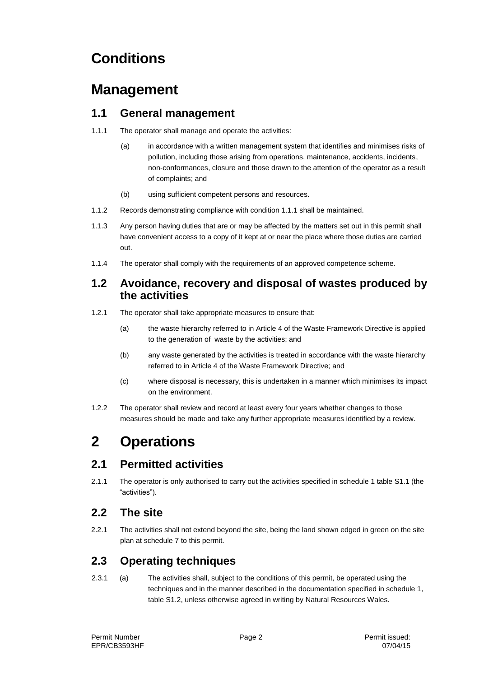## **Conditions**

### **Management**

#### **1.1 General management**

- 1.1.1 The operator shall manage and operate the activities:
	- (a) in accordance with a written management system that identifies and minimises risks of pollution, including those arising from operations, maintenance, accidents, incidents, non-conformances, closure and those drawn to the attention of the operator as a result of complaints; and
	- (b) using sufficient competent persons and resources.
- 1.1.2 Records demonstrating compliance with condition 1.1.1 shall be maintained.
- 1.1.3 Any person having duties that are or may be affected by the matters set out in this permit shall have convenient access to a copy of it kept at or near the place where those duties are carried out.
- 1.1.4 The operator shall comply with the requirements of an approved competence scheme.

#### **1.2 Avoidance, recovery and disposal of wastes produced by the activities**

- 1.2.1 The operator shall take appropriate measures to ensure that:
	- (a) the waste hierarchy referred to in Article 4 of the Waste Framework Directive is applied to the generation of waste by the activities; and
	- (b) any waste generated by the activities is treated in accordance with the waste hierarchy referred to in Article 4 of the Waste Framework Directive; and
	- (c) where disposal is necessary, this is undertaken in a manner which minimises its impact on the environment.
- 1.2.2 The operator shall review and record at least every four years whether changes to those measures should be made and take any further appropriate measures identified by a review.

## **2 Operations**

#### **2.1 Permitted activities**

2.1.1 The operator is only authorised to carry out the activities specified in schedule 1 table S1.1 (the "activities").

#### **2.2 The site**

2.2.1 The activities shall not extend beyond the site, being the land shown edged in green on the site plan at schedule 7 to this permit.

#### **2.3 Operating techniques**

2.3.1 (a) The activities shall, subject to the conditions of this permit, be operated using the techniques and in the manner described in the documentation specified in schedule 1, table S1.2, unless otherwise agreed in writing by Natural Resources Wales.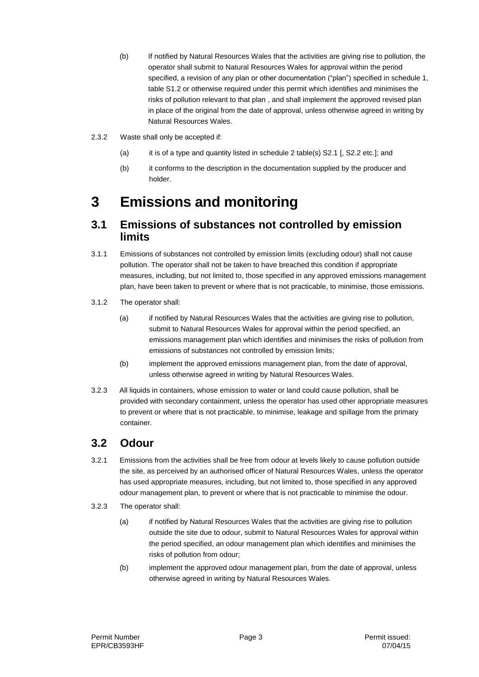- (b) If notified by Natural Resources Wales that the activities are giving rise to pollution, the operator shall submit to Natural Resources Wales for approval within the period specified, a revision of any plan or other documentation ("plan") specified in schedule 1, table S1.2 or otherwise required under this permit which identifies and minimises the risks of pollution relevant to that plan , and shall implement the approved revised plan in place of the original from the date of approval, unless otherwise agreed in writing by Natural Resources Wales.
- 2.3.2 Waste shall only be accepted if:
	- (a) it is of a type and quantity listed in schedule 2 table(s) S2.1 [, S2.2 etc.]; and
	- (b) it conforms to the description in the documentation supplied by the producer and holder.

### **3 Emissions and monitoring**

#### **3.1 Emissions of substances not controlled by emission limits**

- 3.1.1 Emissions of substances not controlled by emission limits (excluding odour) shall not cause pollution. The operator shall not be taken to have breached this condition if appropriate measures, including, but not limited to, those specified in any approved emissions management plan, have been taken to prevent or where that is not practicable, to minimise, those emissions.
- 3.1.2 The operator shall:
	- (a) if notified by Natural Resources Wales that the activities are giving rise to pollution, submit to Natural Resources Wales for approval within the period specified, an emissions management plan which identifies and minimises the risks of pollution from emissions of substances not controlled by emission limits;
	- (b) implement the approved emissions management plan, from the date of approval, unless otherwise agreed in writing by Natural Resources Wales.
- 3.2.3 All liquids in containers, whose emission to water or land could cause pollution, shall be provided with secondary containment, unless the operator has used other appropriate measures to prevent or where that is not practicable, to minimise, leakage and spillage from the primary container.

#### **3.2 Odour**

- 3.2.1 Emissions from the activities shall be free from odour at levels likely to cause pollution outside the site, as perceived by an authorised officer of Natural Resources Wales, unless the operator has used appropriate measures, including, but not limited to, those specified in any approved odour management plan, to prevent or where that is not practicable to minimise the odour.
- 3.2.3 The operator shall:
	- (a) if notified by Natural Resources Wales that the activities are giving rise to pollution outside the site due to odour, submit to Natural Resources Wales for approval within the period specified, an odour management plan which identifies and minimises the risks of pollution from odour;
	- (b) implement the approved odour management plan, from the date of approval, unless otherwise agreed in writing by Natural Resources Wales.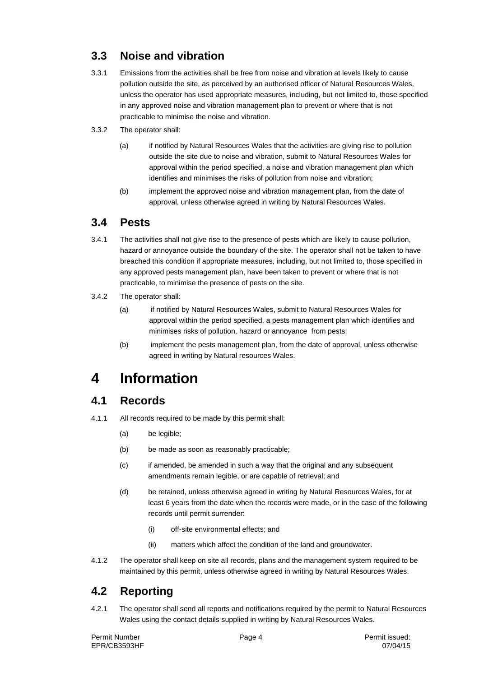### **3.3 Noise and vibration**

- 3.3.1 Emissions from the activities shall be free from noise and vibration at levels likely to cause pollution outside the site, as perceived by an authorised officer of Natural Resources Wales, unless the operator has used appropriate measures, including, but not limited to, those specified in any approved noise and vibration management plan to prevent or where that is not practicable to minimise the noise and vibration.
- 3.3.2 The operator shall:
	- (a) if notified by Natural Resources Wales that the activities are giving rise to pollution outside the site due to noise and vibration, submit to Natural Resources Wales for approval within the period specified, a noise and vibration management plan which identifies and minimises the risks of pollution from noise and vibration;
	- (b) implement the approved noise and vibration management plan, from the date of approval, unless otherwise agreed in writing by Natural Resources Wales.

#### **3.4 Pests**

- 3.4.1 The activities shall not give rise to the presence of pests which are likely to cause pollution, hazard or annoyance outside the boundary of the site. The operator shall not be taken to have breached this condition if appropriate measures, including, but not limited to, those specified in any approved pests management plan, have been taken to prevent or where that is not practicable, to minimise the presence of pests on the site.
- 3.4.2 The operator shall:
	- (a) if notified by Natural Resources Wales, submit to Natural Resources Wales for approval within the period specified, a pests management plan which identifies and minimises risks of pollution, hazard or annoyance from pests;
	- (b) implement the pests management plan, from the date of approval, unless otherwise agreed in writing by Natural resources Wales.

## **4 Information**

### **4.1 Records**

- 4.1.1 All records required to be made by this permit shall:
	- (a) be legible;
	- (b) be made as soon as reasonably practicable;
	- (c) if amended, be amended in such a way that the original and any subsequent amendments remain legible, or are capable of retrieval; and
	- (d) be retained, unless otherwise agreed in writing by Natural Resources Wales, for at least 6 years from the date when the records were made, or in the case of the following records until permit surrender:
		- (i) off-site environmental effects; and
		- (ii) matters which affect the condition of the land and groundwater.
- 4.1.2 The operator shall keep on site all records, plans and the management system required to be maintained by this permit, unless otherwise agreed in writing by Natural Resources Wales.

### **4.2 Reporting**

4.2.1 The operator shall send all reports and notifications required by the permit to Natural Resources Wales using the contact details supplied in writing by Natural Resources Wales.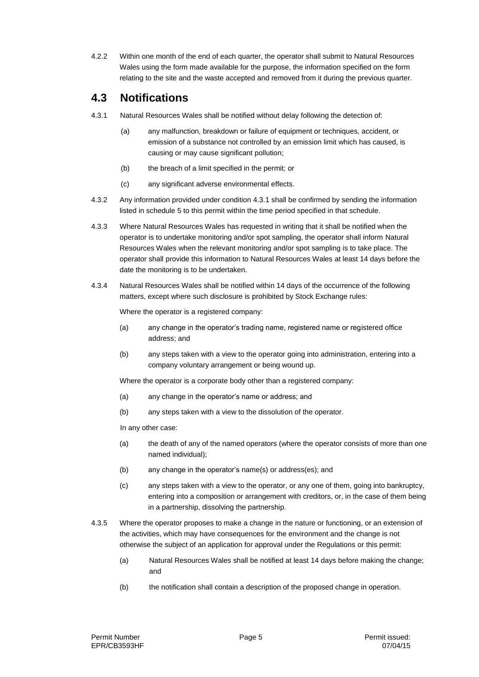4.2.2 Within one month of the end of each quarter, the operator shall submit to Natural Resources Wales using the form made available for the purpose, the information specified on the form relating to the site and the waste accepted and removed from it during the previous quarter.

#### **4.3 Notifications**

- 4.3.1 Natural Resources Wales shall be notified without delay following the detection of:
	- (a) any malfunction, breakdown or failure of equipment or techniques, accident, or emission of a substance not controlled by an emission limit which has caused, is causing or may cause significant pollution;
	- (b) the breach of a limit specified in the permit; or
	- (c) any significant adverse environmental effects.
- 4.3.2 Any information provided under condition 4.3.1 shall be confirmed by sending the information listed in schedule 5 to this permit within the time period specified in that schedule.
- 4.3.3 Where Natural Resources Wales has requested in writing that it shall be notified when the operator is to undertake monitoring and/or spot sampling, the operator shall inform Natural Resources Wales when the relevant monitoring and/or spot sampling is to take place. The operator shall provide this information to Natural Resources Wales at least 14 days before the date the monitoring is to be undertaken.
- 4.3.4 Natural Resources Wales shall be notified within 14 days of the occurrence of the following matters, except where such disclosure is prohibited by Stock Exchange rules:

Where the operator is a registered company:

- (a) any change in the operator's trading name, registered name or registered office address; and
- (b) any steps taken with a view to the operator going into administration, entering into a company voluntary arrangement or being wound up.

Where the operator is a corporate body other than a registered company:

- (a) any change in the operator's name or address; and
- (b) any steps taken with a view to the dissolution of the operator.

In any other case:

- (a) the death of any of the named operators (where the operator consists of more than one named individual);
- (b) any change in the operator's name(s) or address(es); and
- (c) any steps taken with a view to the operator, or any one of them, going into bankruptcy, entering into a composition or arrangement with creditors, or, in the case of them being in a partnership, dissolving the partnership.
- 4.3.5 Where the operator proposes to make a change in the nature or functioning, or an extension of the activities, which may have consequences for the environment and the change is not otherwise the subject of an application for approval under the Regulations or this permit:
	- (a) Natural Resources Wales shall be notified at least 14 days before making the change; and
	- (b) the notification shall contain a description of the proposed change in operation.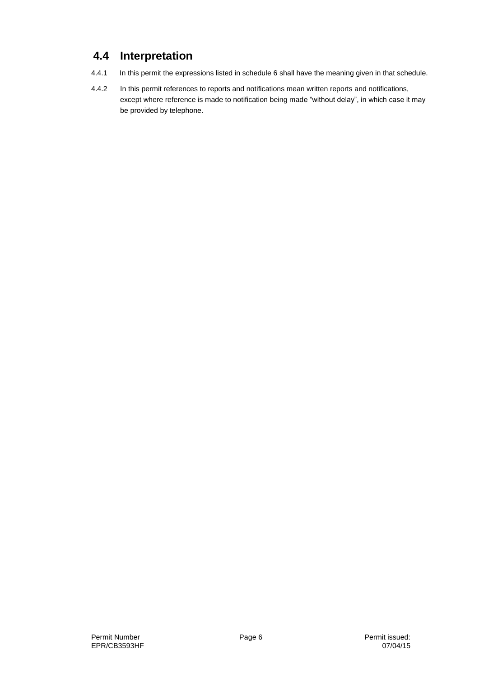### **4.4 Interpretation**

- 4.4.1 In this permit the expressions listed in schedule 6 shall have the meaning given in that schedule.
- 4.4.2 In this permit references to reports and notifications mean written reports and notifications, except where reference is made to notification being made "without delay", in which case it may be provided by telephone.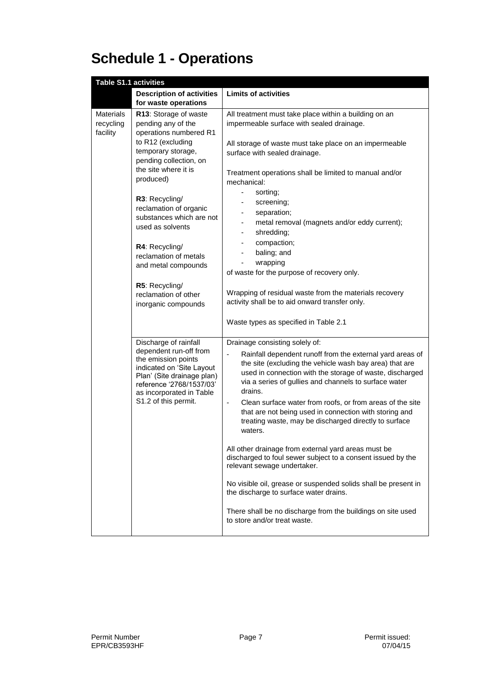# **Schedule 1 - Operations**

| <b>Table S1.1 activities</b>                                                                                                                                                                                      |                                                                                                                                                                                                           |                                                                                                                                                                                                                                                                                                                        |
|-------------------------------------------------------------------------------------------------------------------------------------------------------------------------------------------------------------------|-----------------------------------------------------------------------------------------------------------------------------------------------------------------------------------------------------------|------------------------------------------------------------------------------------------------------------------------------------------------------------------------------------------------------------------------------------------------------------------------------------------------------------------------|
|                                                                                                                                                                                                                   | <b>Description of activities</b>                                                                                                                                                                          | <b>Limits of activities</b>                                                                                                                                                                                                                                                                                            |
|                                                                                                                                                                                                                   | for waste operations                                                                                                                                                                                      |                                                                                                                                                                                                                                                                                                                        |
| <b>Materials</b><br>recycling<br>facility                                                                                                                                                                         | R13: Storage of waste<br>pending any of the<br>operations numbered R1<br>to R12 (excluding                                                                                                                | All treatment must take place within a building on an<br>impermeable surface with sealed drainage.                                                                                                                                                                                                                     |
|                                                                                                                                                                                                                   | temporary storage,<br>pending collection, on<br>the site where it is                                                                                                                                      | All storage of waste must take place on an impermeable<br>surface with sealed drainage.<br>Treatment operations shall be limited to manual and/or                                                                                                                                                                      |
|                                                                                                                                                                                                                   | produced)                                                                                                                                                                                                 | mechanical:<br>÷,<br>sorting;                                                                                                                                                                                                                                                                                          |
|                                                                                                                                                                                                                   | R3: Recycling/<br>reclamation of organic<br>substances which are not<br>used as solvents                                                                                                                  | screening;<br>separation;<br>metal removal (magnets and/or eddy current);<br>-                                                                                                                                                                                                                                         |
|                                                                                                                                                                                                                   | R4: Recycling/<br>reclamation of metals<br>and metal compounds                                                                                                                                            | shredding;<br>$\overline{\phantom{0}}$<br>compaction;<br>baling; and<br>wrapping                                                                                                                                                                                                                                       |
|                                                                                                                                                                                                                   | R5: Recycling/                                                                                                                                                                                            | of waste for the purpose of recovery only.                                                                                                                                                                                                                                                                             |
| reclamation of other<br>inorganic compounds                                                                                                                                                                       |                                                                                                                                                                                                           | Wrapping of residual waste from the materials recovery<br>activity shall be to aid onward transfer only.                                                                                                                                                                                                               |
|                                                                                                                                                                                                                   |                                                                                                                                                                                                           | Waste types as specified in Table 2.1                                                                                                                                                                                                                                                                                  |
| Discharge of rainfall<br>dependent run-off from<br>the emission points<br>indicated on 'Site Layout<br>Plan' (Site drainage plan)<br>reference '2768/1537/03'<br>as incorporated in Table<br>S1.2 of this permit. |                                                                                                                                                                                                           | Drainage consisting solely of:<br>Rainfall dependent runoff from the external yard areas of<br>$\qquad \qquad \blacksquare$<br>the site (excluding the vehicle wash bay area) that are<br>used in connection with the storage of waste, discharged<br>via a series of gullies and channels to surface water<br>drains. |
|                                                                                                                                                                                                                   | Clean surface water from roofs, or from areas of the site<br>$\blacksquare$<br>that are not being used in connection with storing and<br>treating waste, may be discharged directly to surface<br>waters. |                                                                                                                                                                                                                                                                                                                        |
|                                                                                                                                                                                                                   |                                                                                                                                                                                                           | All other drainage from external yard areas must be<br>discharged to foul sewer subject to a consent issued by the<br>relevant sewage undertaker.                                                                                                                                                                      |
|                                                                                                                                                                                                                   |                                                                                                                                                                                                           | No visible oil, grease or suspended solids shall be present in<br>the discharge to surface water drains.                                                                                                                                                                                                               |
|                                                                                                                                                                                                                   |                                                                                                                                                                                                           | There shall be no discharge from the buildings on site used<br>to store and/or treat waste.                                                                                                                                                                                                                            |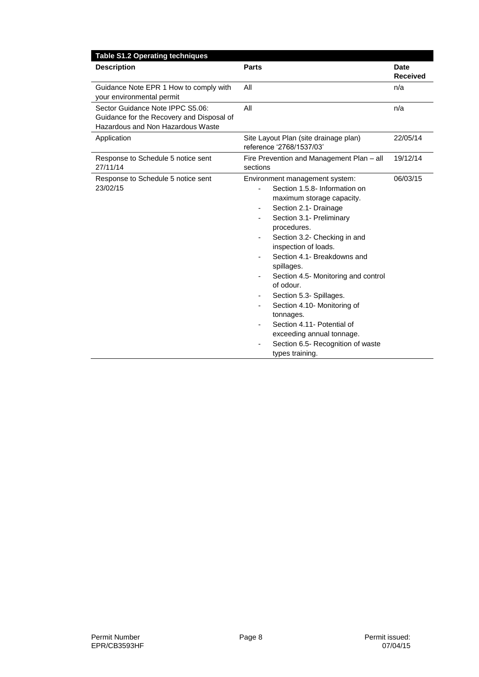| <b>Table S1.2 Operating techniques</b>                                                                             |                                                                                                                                                                                                                                                                                                                                                                                                                                                                                                                                                                                                                                          |                                |
|--------------------------------------------------------------------------------------------------------------------|------------------------------------------------------------------------------------------------------------------------------------------------------------------------------------------------------------------------------------------------------------------------------------------------------------------------------------------------------------------------------------------------------------------------------------------------------------------------------------------------------------------------------------------------------------------------------------------------------------------------------------------|--------------------------------|
| <b>Description</b>                                                                                                 | <b>Parts</b>                                                                                                                                                                                                                                                                                                                                                                                                                                                                                                                                                                                                                             | <b>Date</b><br><b>Received</b> |
| Guidance Note EPR 1 How to comply with<br>your environmental permit                                                | All                                                                                                                                                                                                                                                                                                                                                                                                                                                                                                                                                                                                                                      | n/a                            |
| Sector Guidance Note IPPC S5.06:<br>Guidance for the Recovery and Disposal of<br>Hazardous and Non Hazardous Waste | All                                                                                                                                                                                                                                                                                                                                                                                                                                                                                                                                                                                                                                      | n/a                            |
| Application                                                                                                        | Site Layout Plan (site drainage plan)<br>reference '2768/1537/03'                                                                                                                                                                                                                                                                                                                                                                                                                                                                                                                                                                        | 22/05/14                       |
| Response to Schedule 5 notice sent<br>27/11/14                                                                     | Fire Prevention and Management Plan - all<br>sections                                                                                                                                                                                                                                                                                                                                                                                                                                                                                                                                                                                    | 19/12/14                       |
| Response to Schedule 5 notice sent<br>23/02/15                                                                     | Environment management system:<br>Section 1.5.8- Information on<br>$\overline{\phantom{a}}$<br>maximum storage capacity.<br>Section 2.1- Drainage<br>$\overline{\phantom{a}}$<br>Section 3.1- Preliminary<br>procedures.<br>Section 3.2- Checking in and<br>inspection of loads.<br>Section 4.1- Breakdowns and<br>spillages.<br>Section 4.5- Monitoring and control<br>$\overline{\phantom{a}}$<br>of odour.<br>Section 5.3- Spillages.<br>٠<br>Section 4.10- Monitoring of<br>tonnages.<br>Section 4.11- Potential of<br>$\overline{\phantom{a}}$<br>exceeding annual tonnage.<br>Section 6.5- Recognition of waste<br>types training. | 06/03/15                       |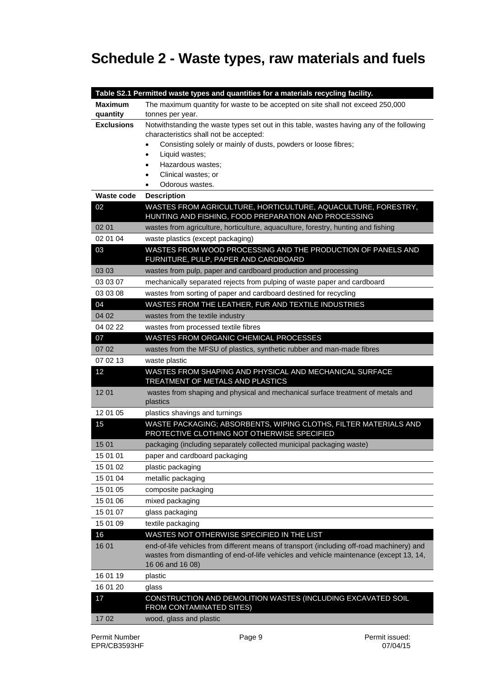## **Schedule 2 - Waste types, raw materials and fuels**

|                   | Table S2.1 Permitted waste types and quantities for a materials recycling facility.                                                                                                                      |
|-------------------|----------------------------------------------------------------------------------------------------------------------------------------------------------------------------------------------------------|
| <b>Maximum</b>    | The maximum quantity for waste to be accepted on site shall not exceed 250,000                                                                                                                           |
| quantity          | tonnes per year.                                                                                                                                                                                         |
| <b>Exclusions</b> | Notwithstanding the waste types set out in this table, wastes having any of the following                                                                                                                |
|                   | characteristics shall not be accepted:                                                                                                                                                                   |
|                   | Consisting solely or mainly of dusts, powders or loose fibres;<br>٠                                                                                                                                      |
|                   | Liquid wastes;<br>$\bullet$<br>Hazardous wastes;<br>٠                                                                                                                                                    |
|                   | Clinical wastes; or<br>٠                                                                                                                                                                                 |
|                   | Odorous wastes.                                                                                                                                                                                          |
| <b>Waste code</b> | <b>Description</b>                                                                                                                                                                                       |
| 02                | WASTES FROM AGRICULTURE, HORTICULTURE, AQUACULTURE, FORESTRY,<br>HUNTING AND FISHING, FOOD PREPARATION AND PROCESSING                                                                                    |
| 02 01             | wastes from agriculture, horticulture, aquaculture, forestry, hunting and fishing                                                                                                                        |
| 02 01 04          | waste plastics (except packaging)                                                                                                                                                                        |
| 03                | WASTES FROM WOOD PROCESSING AND THE PRODUCTION OF PANELS AND<br>FURNITURE, PULP, PAPER AND CARDBOARD                                                                                                     |
| 03 03             | wastes from pulp, paper and cardboard production and processing                                                                                                                                          |
| 03 03 07          | mechanically separated rejects from pulping of waste paper and cardboard                                                                                                                                 |
| 03 03 08          | wastes from sorting of paper and cardboard destined for recycling                                                                                                                                        |
| 04                | WASTES FROM THE LEATHER, FUR AND TEXTILE INDUSTRIES                                                                                                                                                      |
| 04 02             | wastes from the textile industry                                                                                                                                                                         |
| 04 02 22          | wastes from processed textile fibres                                                                                                                                                                     |
| 07                | WASTES FROM ORGANIC CHEMICAL PROCESSES                                                                                                                                                                   |
| 07 02             | wastes from the MFSU of plastics, synthetic rubber and man-made fibres                                                                                                                                   |
| 07 02 13          | waste plastic                                                                                                                                                                                            |
| 12                | WASTES FROM SHAPING AND PHYSICAL AND MECHANICAL SURFACE<br>TREATMENT OF METALS AND PLASTICS                                                                                                              |
| 1201              | wastes from shaping and physical and mechanical surface treatment of metals and<br>plastics                                                                                                              |
| 12 01 05          | plastics shavings and turnings                                                                                                                                                                           |
| 15                | WASTE PACKAGING; ABSORBENTS, WIPING CLOTHS, FILTER MATERIALS AND<br>PROTECTIVE CLOTHING NOT OTHERWISE SPECIFIED                                                                                          |
| 15 01             | packaging (including separately collected municipal packaging waste)                                                                                                                                     |
| 15 01 01          | paper and cardboard packaging                                                                                                                                                                            |
| 15 01 02          | plastic packaging                                                                                                                                                                                        |
| 15 01 04          | metallic packaging                                                                                                                                                                                       |
| 15 01 05          | composite packaging                                                                                                                                                                                      |
| 15 01 06          | mixed packaging                                                                                                                                                                                          |
| 15 01 07          | glass packaging                                                                                                                                                                                          |
| 15 01 09          | textile packaging                                                                                                                                                                                        |
| 16                | WASTES NOT OTHERWISE SPECIFIED IN THE LIST                                                                                                                                                               |
| 16 01             | end-of-life vehicles from different means of transport (including off-road machinery) and<br>wastes from dismantling of end-of-life vehicles and vehicle maintenance (except 13, 14,<br>16 06 and 16 08) |
| 16 01 19          | plastic                                                                                                                                                                                                  |
| 16 01 20          | glass                                                                                                                                                                                                    |
| 17                | CONSTRUCTION AND DEMOLITION WASTES (INCLUDING EXCAVATED SOIL<br>FROM CONTAMINATED SITES)                                                                                                                 |
| 1702              | wood, glass and plastic                                                                                                                                                                                  |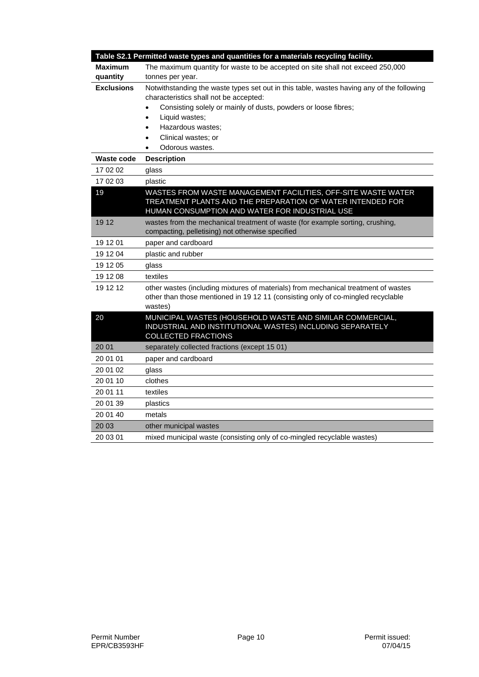|                   | Table S2.1 Permitted waste types and quantities for a materials recycling facility.                                                                                                                                                                                                                                                        |
|-------------------|--------------------------------------------------------------------------------------------------------------------------------------------------------------------------------------------------------------------------------------------------------------------------------------------------------------------------------------------|
| <b>Maximum</b>    | The maximum quantity for waste to be accepted on site shall not exceed 250,000                                                                                                                                                                                                                                                             |
| quantity          | tonnes per year.                                                                                                                                                                                                                                                                                                                           |
| <b>Exclusions</b> | Notwithstanding the waste types set out in this table, wastes having any of the following<br>characteristics shall not be accepted:<br>Consisting solely or mainly of dusts, powders or loose fibres;<br>$\bullet$<br>Liquid wastes;<br>$\bullet$<br>Hazardous wastes;<br>$\bullet$<br>Clinical wastes; or<br>$\bullet$<br>Odorous wastes. |
| <b>Waste code</b> | <b>Description</b>                                                                                                                                                                                                                                                                                                                         |
| 17 02 02          | glass                                                                                                                                                                                                                                                                                                                                      |
| 17 02 03          | plastic                                                                                                                                                                                                                                                                                                                                    |
| 19                | WASTES FROM WASTE MANAGEMENT FACILITIES, OFF-SITE WASTE WATER<br>TREATMENT PLANTS AND THE PREPARATION OF WATER INTENDED FOR<br>HUMAN CONSUMPTION AND WATER FOR INDUSTRIAL USE                                                                                                                                                              |
| 19 12             | wastes from the mechanical treatment of waste (for example sorting, crushing,                                                                                                                                                                                                                                                              |
|                   | compacting, pelletising) not otherwise specified                                                                                                                                                                                                                                                                                           |
| 19 12 01          | paper and cardboard                                                                                                                                                                                                                                                                                                                        |
| 19 12 04          | plastic and rubber                                                                                                                                                                                                                                                                                                                         |
| 19 12 05          | glass                                                                                                                                                                                                                                                                                                                                      |
| 19 12 08          | textiles                                                                                                                                                                                                                                                                                                                                   |
| 19 12 12          | other wastes (including mixtures of materials) from mechanical treatment of wastes<br>other than those mentioned in 19 12 11 (consisting only of co-mingled recyclable<br>wastes)                                                                                                                                                          |
| 20                | MUNICIPAL WASTES (HOUSEHOLD WASTE AND SIMILAR COMMERCIAL,<br>INDUSTRIAL AND INSTITUTIONAL WASTES) INCLUDING SEPARATELY<br><b>COLLECTED FRACTIONS</b>                                                                                                                                                                                       |
| 20 01             | separately collected fractions (except 15 01)                                                                                                                                                                                                                                                                                              |
| 20 01 01          | paper and cardboard                                                                                                                                                                                                                                                                                                                        |
| 20 01 02          | glass                                                                                                                                                                                                                                                                                                                                      |
| 20 01 10          | clothes                                                                                                                                                                                                                                                                                                                                    |
| 20 01 11          | textiles                                                                                                                                                                                                                                                                                                                                   |
| 20 01 39          | plastics                                                                                                                                                                                                                                                                                                                                   |
| 20 01 40          | metals                                                                                                                                                                                                                                                                                                                                     |
| 20 03             | other municipal wastes                                                                                                                                                                                                                                                                                                                     |
| 20 03 01          | mixed municipal waste (consisting only of co-mingled recyclable wastes)                                                                                                                                                                                                                                                                    |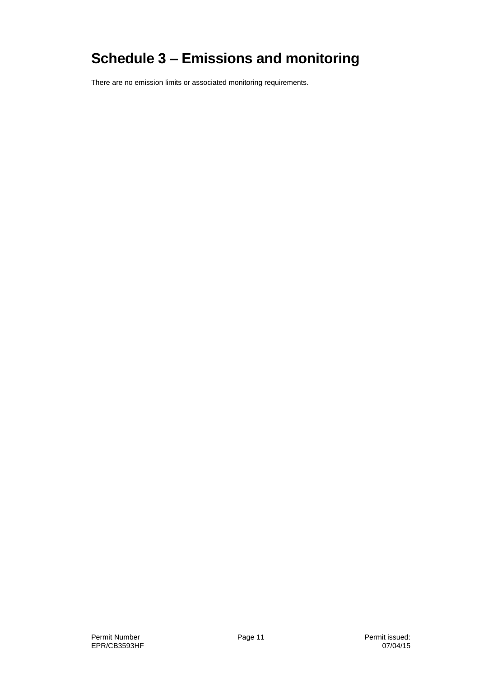# **Schedule 3 – Emissions and monitoring**

There are no emission limits or associated monitoring requirements.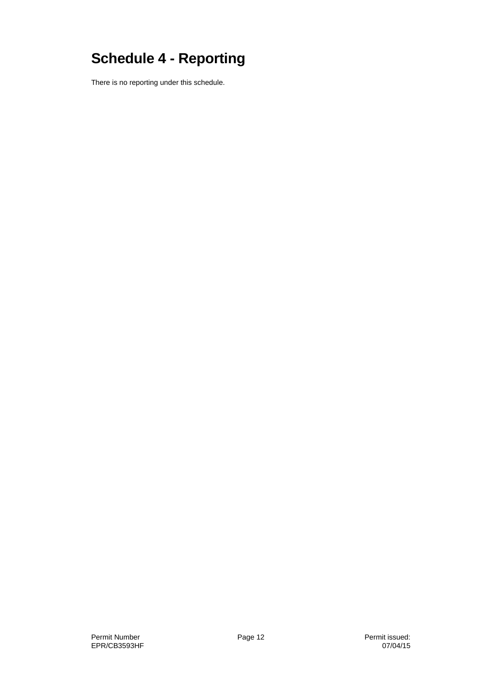# **Schedule 4 - Reporting**

There is no reporting under this schedule.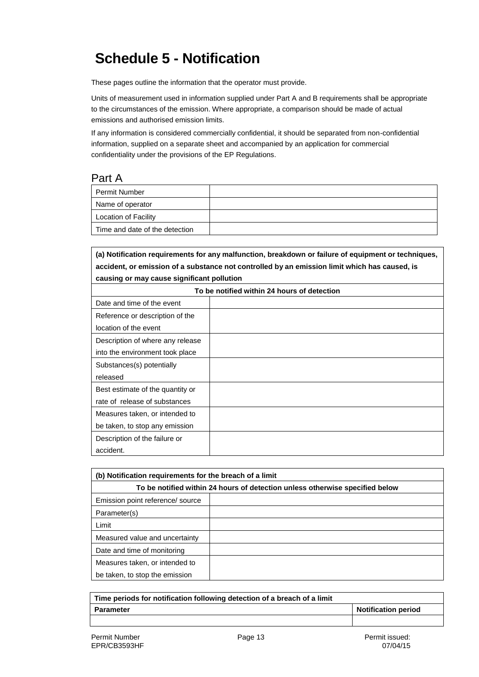## **Schedule 5 - Notification**

These pages outline the information that the operator must provide.

Units of measurement used in information supplied under Part A and B requirements shall be appropriate to the circumstances of the emission. Where appropriate, a comparison should be made of actual emissions and authorised emission limits.

If any information is considered commercially confidential, it should be separated from non-confidential information, supplied on a separate sheet and accompanied by an application for commercial confidentiality under the provisions of the EP Regulations.

#### Part A

| Permit Number                  |  |
|--------------------------------|--|
| Name of operator               |  |
| Location of Facility           |  |
| Time and date of the detection |  |

**(a) Notification requirements for any malfunction, breakdown or failure of equipment or techniques, accident, or emission of a substance not controlled by an emission limit which has caused, is causing or may cause significant pollution**

| To be notified within 24 hours of detection |  |  |
|---------------------------------------------|--|--|
| Date and time of the event                  |  |  |
| Reference or description of the             |  |  |
| location of the event                       |  |  |
| Description of where any release            |  |  |
| into the environment took place             |  |  |
| Substances(s) potentially                   |  |  |
| released                                    |  |  |
| Best estimate of the quantity or            |  |  |
| rate of release of substances               |  |  |
| Measures taken, or intended to              |  |  |
| be taken, to stop any emission              |  |  |
| Description of the failure or               |  |  |
| accident.                                   |  |  |

| (b) Notification requirements for the breach of a limit                      |  |  |
|------------------------------------------------------------------------------|--|--|
| To be notified within 24 hours of detection unless otherwise specified below |  |  |
| Emission point reference/ source                                             |  |  |
| Parameter(s)                                                                 |  |  |
| Limit                                                                        |  |  |
| Measured value and uncertainty                                               |  |  |
| Date and time of monitoring                                                  |  |  |
| Measures taken, or intended to                                               |  |  |
| be taken, to stop the emission                                               |  |  |

| Time periods for notification following detection of a breach of a limit |                     |  |
|--------------------------------------------------------------------------|---------------------|--|
| <b>Parameter</b>                                                         | Notification period |  |
|                                                                          |                     |  |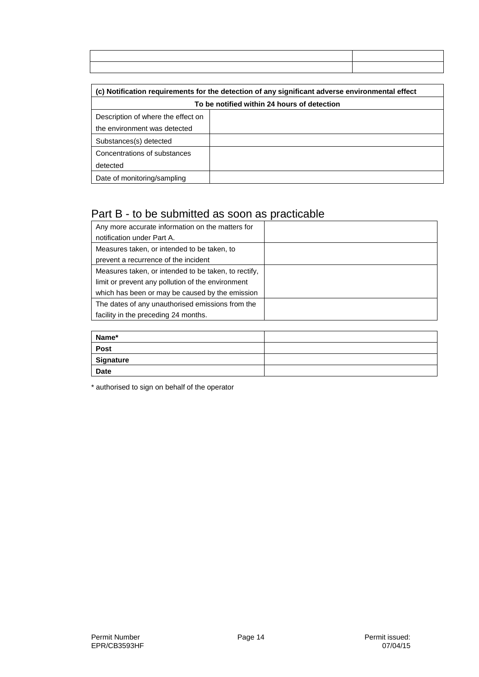| (c) Notification requirements for the detection of any significant adverse environmental effect |  |  |
|-------------------------------------------------------------------------------------------------|--|--|
| To be notified within 24 hours of detection                                                     |  |  |
| Description of where the effect on                                                              |  |  |
| the environment was detected                                                                    |  |  |
| Substances(s) detected                                                                          |  |  |
| Concentrations of substances                                                                    |  |  |
| detected                                                                                        |  |  |
| Date of monitoring/sampling                                                                     |  |  |

### Part B - to be submitted as soon as practicable

| Any more accurate information on the matters for     |  |
|------------------------------------------------------|--|
| notification under Part A.                           |  |
| Measures taken, or intended to be taken, to          |  |
| prevent a recurrence of the incident                 |  |
| Measures taken, or intended to be taken, to rectify, |  |
| limit or prevent any pollution of the environment    |  |
| which has been or may be caused by the emission      |  |
| The dates of any unauthorised emissions from the     |  |
| facility in the preceding 24 months.                 |  |

| Name*       |  |
|-------------|--|
| Post        |  |
| Signature   |  |
| <b>Date</b> |  |

\* authorised to sign on behalf of the operator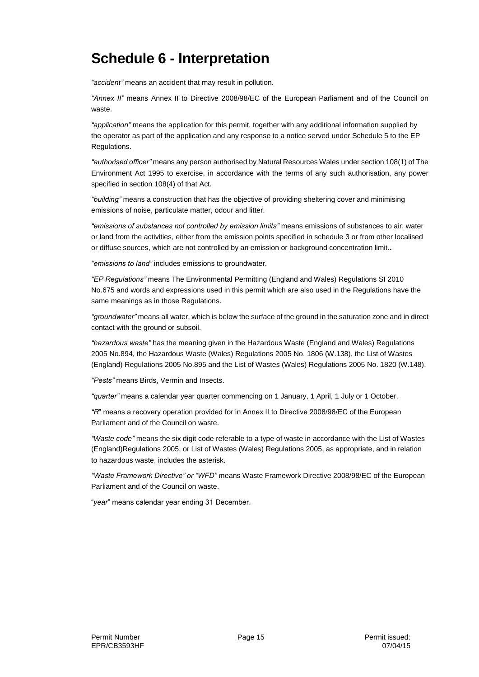## **Schedule 6 - Interpretation**

*"accident"* means an accident that may result in pollution.

*"Annex II"* means Annex II to Directive 2008/98/EC of the European Parliament and of the Council on waste.

*"application"* means the application for this permit, together with any additional information supplied by the operator as part of the application and any response to a notice served under Schedule 5 to the EP Regulations.

*"authorised officer"* means any person authorised by Natural Resources Wales under section 108(1) of The Environment Act 1995 to exercise, in accordance with the terms of any such authorisation, any power specified in section 108(4) of that Act*.*

*"building"* means a construction that has the objective of providing sheltering cover and minimising emissions of noise, particulate matter, odour and litter.

*"emissions of substances not controlled by emission limits"* means emissions of substances to air, water or land from the activities, either from the emission points specified in schedule 3 or from other localised or diffuse sources, which are not controlled by an emission or background concentration limit.**.**

*"emissions to land"* includes emissions to groundwater.

*"EP Regulations"* means The Environmental Permitting (England and Wales) Regulations SI 2010 No.675 and words and expressions used in this permit which are also used in the Regulations have the same meanings as in those Regulations.

*"groundwater"* means all water, which is below the surface of the ground in the saturation zone and in direct contact with the ground or subsoil.

*"hazardous waste"* has the meaning given in the Hazardous Waste (England and Wales) Regulations 2005 No.894, the Hazardous Waste (Wales) Regulations 2005 No. 1806 (W.138), the List of Wastes (England) Regulations 2005 No.895 and the List of Wastes (Wales) Regulations 2005 No. 1820 (W.148).

*"Pests"* means Birds, Vermin and Insects.

*"quarter"* means a calendar year quarter commencing on 1 January, 1 April, 1 July or 1 October.

*"R*" means a recovery operation provided for in Annex II to Directive 2008/98/EC of the European Parliament and of the Council on waste.

*"Waste code"* means the six digit code referable to a type of waste in accordance with the List of Wastes (England)Regulations 2005, or List of Wastes (Wales) Regulations 2005, as appropriate, and in relation to hazardous waste, includes the asterisk.

*"Waste Framework Directive" or "WFD"* means Waste Framework Directive 2008/98/EC of the European Parliament and of the Council on waste.

"*year*" means calendar year ending 31 December.